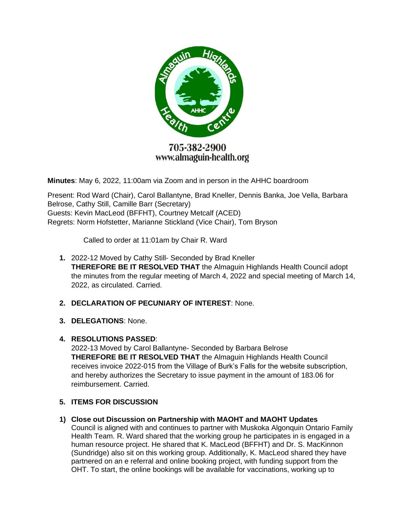

# 705-382-2900 www.almaguin-health.org

**Minutes**: May 6, 2022, 11:00am via Zoom and in person in the AHHC boardroom

Present: Rod Ward (Chair), Carol Ballantyne, Brad Kneller, Dennis Banka, Joe Vella, Barbara Belrose, Cathy Still, Camille Barr (Secretary) Guests: Kevin MacLeod (BFFHT), Courtney Metcalf (ACED) Regrets: Norm Hofstetter, Marianne Stickland (Vice Chair), Tom Bryson

Called to order at 11:01am by Chair R. Ward

- **1.** 2022-12 Moved by Cathy Still- Seconded by Brad Kneller **THEREFORE BE IT RESOLVED THAT** the Almaguin Highlands Health Council adopt the minutes from the regular meeting of March 4, 2022 and special meeting of March 14, 2022, as circulated. Carried.
- **2. DECLARATION OF PECUNIARY OF INTEREST**: None.
- **3. DELEGATIONS**: None.

### **4. RESOLUTIONS PASSED**:

2022-13 Moved by Carol Ballantyne- Seconded by Barbara Belrose **THEREFORE BE IT RESOLVED THAT** the Almaguin Highlands Health Council receives invoice 2022-015 from the Village of Burk's Falls for the website subscription, and hereby authorizes the Secretary to issue payment in the amount of 183.06 for reimbursement. Carried.

## **5. ITEMS FOR DISCUSSION**

### **1) Close out Discussion on Partnership with MAOHT and MAOHT Updates**

Council is aligned with and continues to partner with Muskoka Algonquin Ontario Family Health Team. R. Ward shared that the working group he participates in is engaged in a human resource project. He shared that K. MacLeod (BFFHT) and Dr. S. MacKinnon (Sundridge) also sit on this working group. Additionally, K. MacLeod shared they have partnered on an e referral and online booking project, with funding support from the OHT. To start, the online bookings will be available for vaccinations, working up to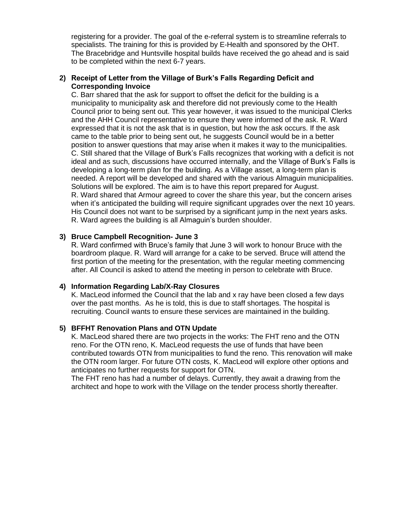registering for a provider. The goal of the e-referral system is to streamline referrals to specialists. The training for this is provided by E-Health and sponsored by the OHT. The Bracebridge and Huntsville hospital builds have received the go ahead and is said to be completed within the next 6-7 years.

### **2) Receipt of Letter from the Village of Burk's Falls Regarding Deficit and Corresponding Invoice**

C. Barr shared that the ask for support to offset the deficit for the building is a municipality to municipality ask and therefore did not previously come to the Health Council prior to being sent out. This year however, it was issued to the municipal Clerks and the AHH Council representative to ensure they were informed of the ask. R. Ward expressed that it is not the ask that is in question, but how the ask occurs. If the ask came to the table prior to being sent out, he suggests Council would be in a better position to answer questions that may arise when it makes it way to the municipalities. C. Still shared that the Village of Burk's Falls recognizes that working with a deficit is not ideal and as such, discussions have occurred internally, and the Village of Burk's Falls is developing a long-term plan for the building. As a Village asset, a long-term plan is needed. A report will be developed and shared with the various Almaguin municipalities. Solutions will be explored. The aim is to have this report prepared for August. R. Ward shared that Armour agreed to cover the share this year, but the concern arises when it's anticipated the building will require significant upgrades over the next 10 years. His Council does not want to be surprised by a significant jump in the next years asks. R. Ward agrees the building is all Almaguin's burden shoulder.

### **3) Bruce Campbell Recognition- June 3**

R. Ward confirmed with Bruce's family that June 3 will work to honour Bruce with the boardroom plaque. R. Ward will arrange for a cake to be served. Bruce will attend the first portion of the meeting for the presentation, with the regular meeting commencing after. All Council is asked to attend the meeting in person to celebrate with Bruce.

### **4) Information Regarding Lab/X-Ray Closures**

K. MacLeod informed the Council that the lab and x ray have been closed a few days over the past months. As he is told, this is due to staff shortages. The hospital is recruiting. Council wants to ensure these services are maintained in the building.

### **5) BFFHT Renovation Plans and OTN Update**

K. MacLeod shared there are two projects in the works: The FHT reno and the OTN reno. For the OTN reno, K. MacLeod requests the use of funds that have been contributed towards OTN from municipalities to fund the reno. This renovation will make the OTN room larger. For future OTN costs, K. MacLeod will explore other options and anticipates no further requests for support for OTN.

The FHT reno has had a number of delays. Currently, they await a drawing from the architect and hope to work with the Village on the tender process shortly thereafter.